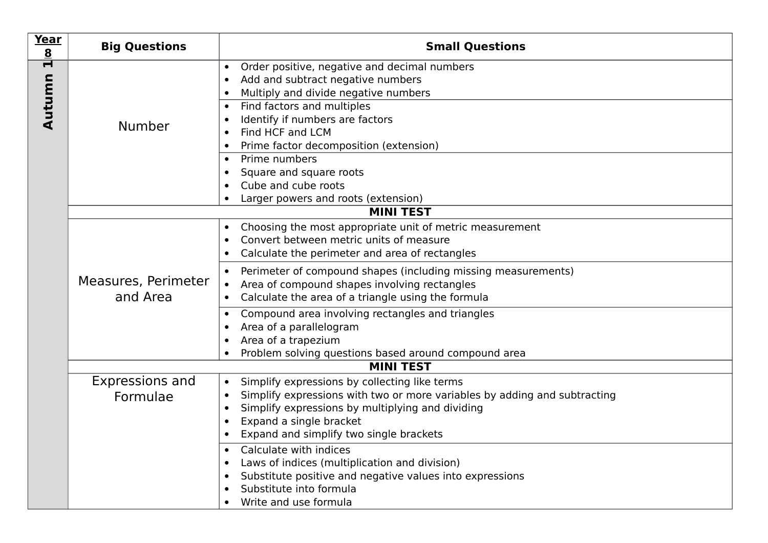| Year<br>$\underline{8}$                          | <b>Big Questions</b>   | <b>Small Questions</b>                                                                                                                                           |
|--------------------------------------------------|------------------------|------------------------------------------------------------------------------------------------------------------------------------------------------------------|
| $\overline{\mathbf{r}}$                          |                        | Order positive, negative and decimal numbers<br>$\bullet$<br>Add and subtract negative numbers<br>$\bullet$<br>Multiply and divide negative numbers<br>$\bullet$ |
| Autumn                                           | <b>Number</b>          | Find factors and multiples<br>$\bullet$<br>Identify if numbers are factors<br>$\bullet$<br>Find HCF and LCM<br>$\bullet$                                         |
|                                                  |                        | Prime factor decomposition (extension)<br>$\bullet$<br>Prime numbers<br>$\bullet$                                                                                |
|                                                  |                        | Square and square roots<br>$\bullet$                                                                                                                             |
|                                                  |                        | Cube and cube roots<br>$\bullet$                                                                                                                                 |
| Larger powers and roots (extension)<br>$\bullet$ |                        | <b>MINI TEST</b>                                                                                                                                                 |
|                                                  |                        | Choosing the most appropriate unit of metric measurement<br>$\bullet$                                                                                            |
|                                                  |                        | Convert between metric units of measure<br>$\bullet$                                                                                                             |
|                                                  |                        | Calculate the perimeter and area of rectangles<br>$\bullet$                                                                                                      |
|                                                  | Measures, Perimeter    | Perimeter of compound shapes (including missing measurements)<br>$\bullet$<br>Area of compound shapes involving rectangles<br>$\bullet$                          |
|                                                  | and Area               | Calculate the area of a triangle using the formula<br>$\bullet$                                                                                                  |
|                                                  |                        | Compound area involving rectangles and triangles<br>$\bullet$                                                                                                    |
|                                                  |                        | Area of a parallelogram<br>$\bullet$<br>Area of a trapezium<br>$\bullet$                                                                                         |
|                                                  |                        | Problem solving questions based around compound area<br>$\bullet$                                                                                                |
| <b>MINI TEST</b>                                 |                        |                                                                                                                                                                  |
|                                                  | <b>Expressions and</b> | Simplify expressions by collecting like terms<br>$\bullet$                                                                                                       |
|                                                  | Formulae               | Simplify expressions with two or more variables by adding and subtracting<br>$\bullet$<br>Simplify expressions by multiplying and dividing<br>$\bullet$          |
|                                                  |                        | Expand a single bracket<br>$\bullet$                                                                                                                             |
|                                                  |                        | Expand and simplify two single brackets<br>$\bullet$                                                                                                             |
|                                                  |                        | Calculate with indices<br>$\bullet$<br>Laws of indices (multiplication and division)<br>$\bullet$                                                                |
|                                                  |                        | Substitute positive and negative values into expressions<br>$\bullet$                                                                                            |
|                                                  |                        | Substitute into formula<br>$\bullet$                                                                                                                             |
|                                                  |                        | Write and use formula<br>$\bullet$                                                                                                                               |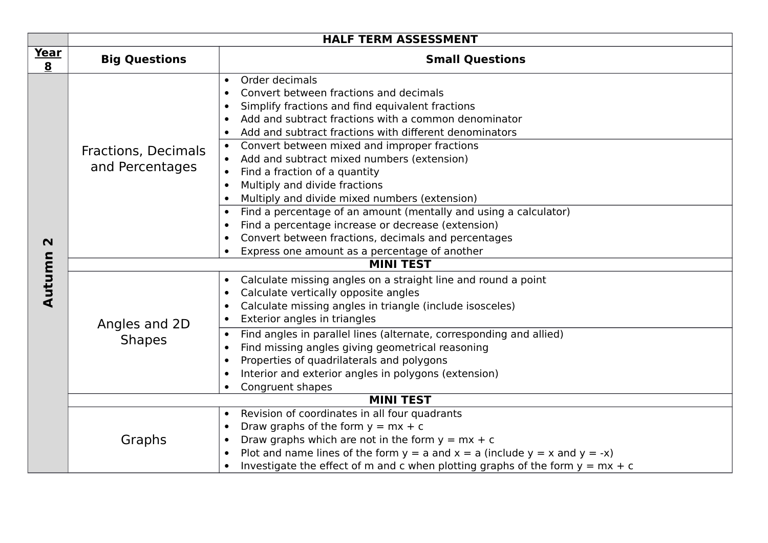|             | <b>HALF TERM ASSESSMENT</b>            |                                                                                                                                                                                                                                                                                                                                                                                                                                                                                                                                                                                                                                                                                                                                                                                                        |
|-------------|----------------------------------------|--------------------------------------------------------------------------------------------------------------------------------------------------------------------------------------------------------------------------------------------------------------------------------------------------------------------------------------------------------------------------------------------------------------------------------------------------------------------------------------------------------------------------------------------------------------------------------------------------------------------------------------------------------------------------------------------------------------------------------------------------------------------------------------------------------|
| Year<br>8   | <b>Big Questions</b>                   | <b>Small Questions</b>                                                                                                                                                                                                                                                                                                                                                                                                                                                                                                                                                                                                                                                                                                                                                                                 |
| $\mathbf N$ | Fractions, Decimals<br>and Percentages | Order decimals<br>$\bullet$<br>Convert between fractions and decimals<br>$\bullet$<br>Simplify fractions and find equivalent fractions<br>Add and subtract fractions with a common denominator<br>$\bullet$<br>Add and subtract fractions with different denominators<br>$\bullet$<br>Convert between mixed and improper fractions<br>$\bullet$<br>Add and subtract mixed numbers (extension)<br>Find a fraction of a quantity<br>$\bullet$<br>Multiply and divide fractions<br>$\bullet$<br>Multiply and divide mixed numbers (extension)<br>Find a percentage of an amount (mentally and using a calculator)<br>$\bullet$<br>Find a percentage increase or decrease (extension)<br>$\bullet$<br>Convert between fractions, decimals and percentages<br>Express one amount as a percentage of another |
|             | <b>MINI TEST</b>                       |                                                                                                                                                                                                                                                                                                                                                                                                                                                                                                                                                                                                                                                                                                                                                                                                        |
| Autumn      | Angles and 2D<br><b>Shapes</b>         | Calculate missing angles on a straight line and round a point<br>$\bullet$<br>Calculate vertically opposite angles<br>$\bullet$<br>Calculate missing angles in triangle (include isosceles)<br>$\bullet$<br>Exterior angles in triangles<br>$\bullet$<br>Find angles in parallel lines (alternate, corresponding and allied)<br>$\bullet$<br>Find missing angles giving geometrical reasoning<br>$\bullet$<br>Properties of quadrilaterals and polygons<br>$\bullet$<br>Interior and exterior angles in polygons (extension)<br>$\bullet$<br>Congruent shapes                                                                                                                                                                                                                                          |
|             | <b>MINI TEST</b>                       |                                                                                                                                                                                                                                                                                                                                                                                                                                                                                                                                                                                                                                                                                                                                                                                                        |
|             | Graphs                                 | Revision of coordinates in all four quadrants<br>$\bullet$<br>Draw graphs of the form $y = mx + c$<br>$\bullet$<br>Draw graphs which are not in the form $y = mx + c$<br>$\bullet$<br>Plot and name lines of the form $y = a$ and $x = a$ (include $y = x$ and $y = -x$ )<br>$\bullet$<br>Investigate the effect of m and c when plotting graphs of the form $y = mx + c$                                                                                                                                                                                                                                                                                                                                                                                                                              |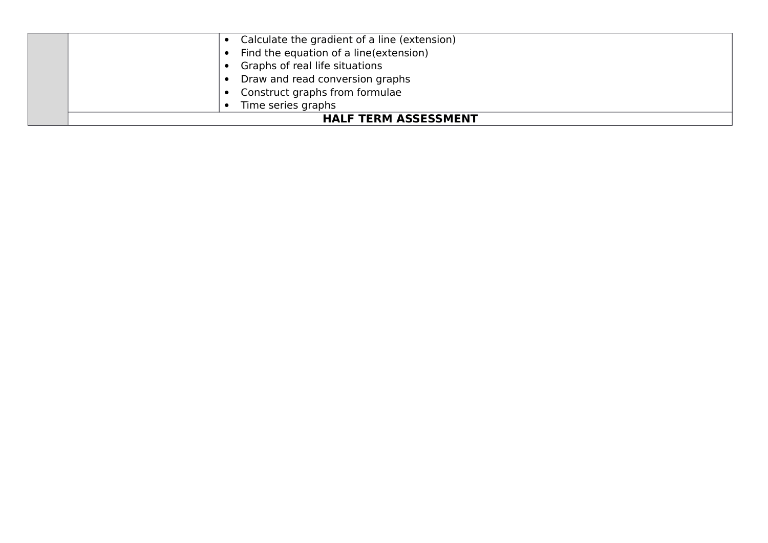| Calculate the gradient of a line (extension) |  |
|----------------------------------------------|--|
| Find the equation of a line (extension)      |  |
| Graphs of real life situations               |  |
| Draw and read conversion graphs              |  |
| Construct graphs from formulae               |  |
| Time series graphs                           |  |
| <b>HALF TERM ASSESSMENT</b>                  |  |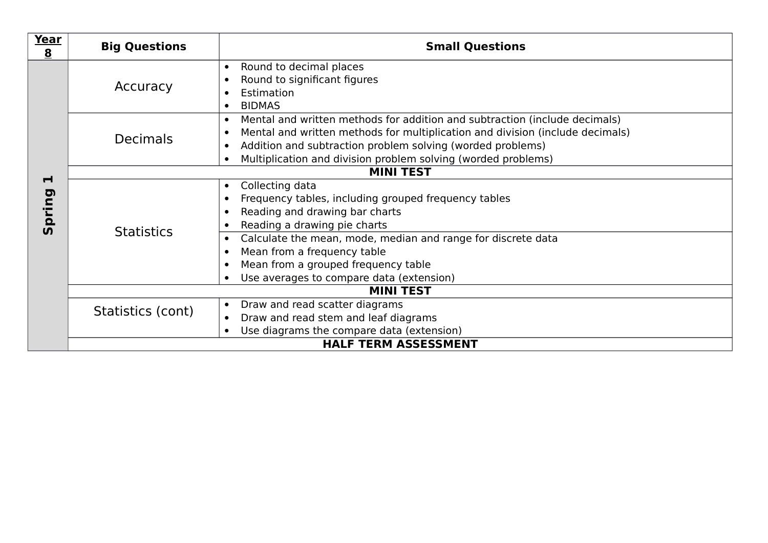| Year<br>$\underline{8}$     | <b>Big Questions</b> | <b>Small Questions</b>                                                                                                                                                                                                                                                                                               |
|-----------------------------|----------------------|----------------------------------------------------------------------------------------------------------------------------------------------------------------------------------------------------------------------------------------------------------------------------------------------------------------------|
|                             | Accuracy             | Round to decimal places<br>$\bullet$<br>Round to significant figures<br>Estimation<br><b>BIDMAS</b>                                                                                                                                                                                                                  |
|                             | <b>Decimals</b>      | Mental and written methods for addition and subtraction (include decimals)<br>$\bullet$<br>Mental and written methods for multiplication and division (include decimals)<br>Addition and subtraction problem solving (worded problems)<br>$\bullet$<br>Multiplication and division problem solving (worded problems) |
| $\blacksquare$              | <b>MINI TEST</b>     |                                                                                                                                                                                                                                                                                                                      |
| pring<br><b>5</b>           | <b>Statistics</b>    | Collecting data<br>$\bullet$<br>Frequency tables, including grouped frequency tables<br>Reading and drawing bar charts<br>Reading a drawing pie charts                                                                                                                                                               |
|                             |                      | Calculate the mean, mode, median and range for discrete data<br>Mean from a frequency table<br>Mean from a grouped frequency table<br>Use averages to compare data (extension)                                                                                                                                       |
|                             | <b>MINI TEST</b>     |                                                                                                                                                                                                                                                                                                                      |
|                             | Statistics (cont)    | Draw and read scatter diagrams<br>$\bullet$<br>Draw and read stem and leaf diagrams<br>Use diagrams the compare data (extension)                                                                                                                                                                                     |
| <b>HALF TERM ASSESSMENT</b> |                      |                                                                                                                                                                                                                                                                                                                      |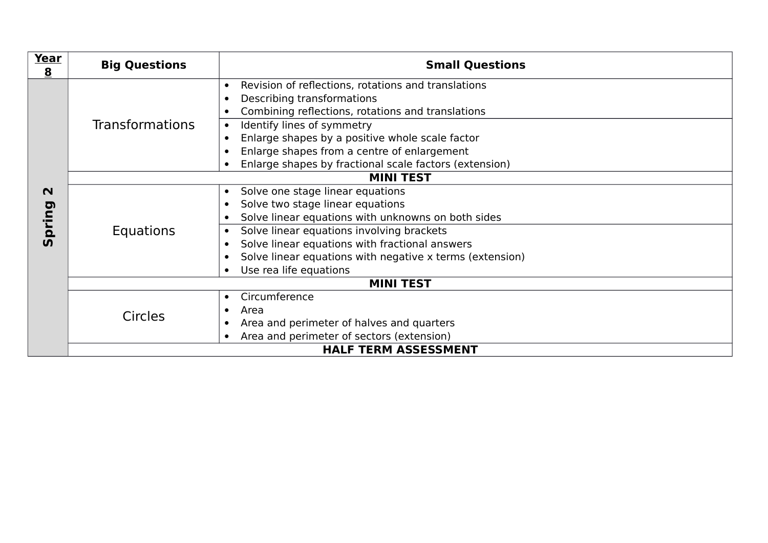| Year<br>$\overline{\mathbf{8}}$  | <b>Big Questions</b>   | <b>Small Questions</b>                                                                                                                                                            |  |
|----------------------------------|------------------------|-----------------------------------------------------------------------------------------------------------------------------------------------------------------------------------|--|
|                                  | <b>Transformations</b> | Revision of reflections, rotations and translations<br>$\bullet$<br>Describing transformations<br>Combining reflections, rotations and translations<br>Identify lines of symmetry |  |
|                                  |                        | Enlarge shapes by a positive whole scale factor<br>Enlarge shapes from a centre of enlargement<br>Enlarge shapes by fractional scale factors (extension)                          |  |
|                                  | <b>MINI TEST</b>       |                                                                                                                                                                                   |  |
| $\mathbf N$<br>pring<br><u>ທ</u> | Equations              | Solve one stage linear equations<br>$\bullet$<br>Solve two stage linear equations<br>$\bullet$<br>Solve linear equations with unknowns on both sides                              |  |
|                                  |                        | Solve linear equations involving brackets<br>Solve linear equations with fractional answers<br>Solve linear equations with negative x terms (extension)                           |  |
|                                  |                        | Use rea life equations                                                                                                                                                            |  |
|                                  | <b>MINI TEST</b>       |                                                                                                                                                                                   |  |
|                                  | Circles                | Circumference<br>$\bullet$<br>Area<br>Area and perimeter of halves and quarters<br>$\bullet$                                                                                      |  |
|                                  |                        | Area and perimeter of sectors (extension)                                                                                                                                         |  |
|                                  |                        | <b>HALF TERM ASSESSMENT</b>                                                                                                                                                       |  |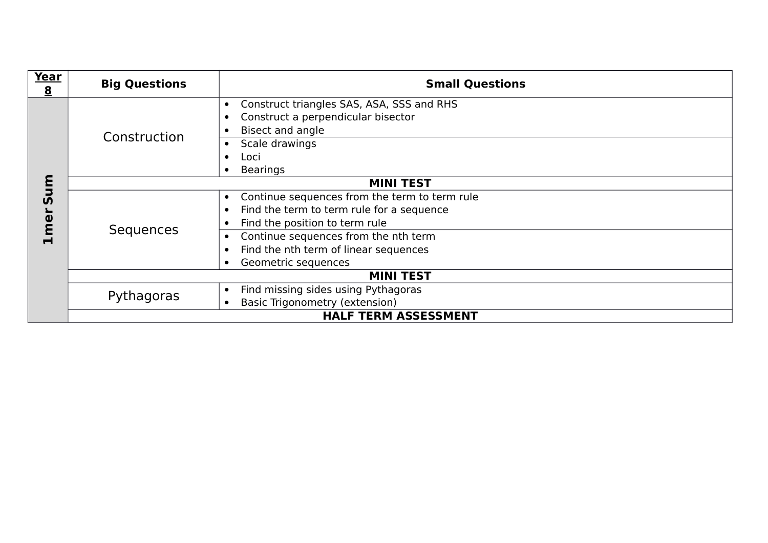| Year<br>$\overline{\mathbf{8}}$ | <b>Big Questions</b> | <b>Small Questions</b>                                                                                                                                                                                                                            |
|---------------------------------|----------------------|---------------------------------------------------------------------------------------------------------------------------------------------------------------------------------------------------------------------------------------------------|
|                                 | Construction         | Construct triangles SAS, ASA, SSS and RHS<br>Construct a perpendicular bisector<br>Bisect and angle<br>Scale drawings<br>Loci                                                                                                                     |
| m                               |                      | <b>Bearings</b><br><b>MINI TEST</b>                                                                                                                                                                                                               |
| $\mathbf{v}$<br>mer             | Sequences            | Continue sequences from the term to term rule<br>$\bullet$<br>Find the term to term rule for a sequence<br>Find the position to term rule<br>Continue sequences from the nth term<br>Find the nth term of linear sequences<br>Geometric sequences |
|                                 | <b>MINI TEST</b>     |                                                                                                                                                                                                                                                   |
|                                 | Pythagoras           | Find missing sides using Pythagoras<br>Basic Trigonometry (extension)                                                                                                                                                                             |
|                                 |                      | <b>HALF TERM ASSESSMENT</b>                                                                                                                                                                                                                       |